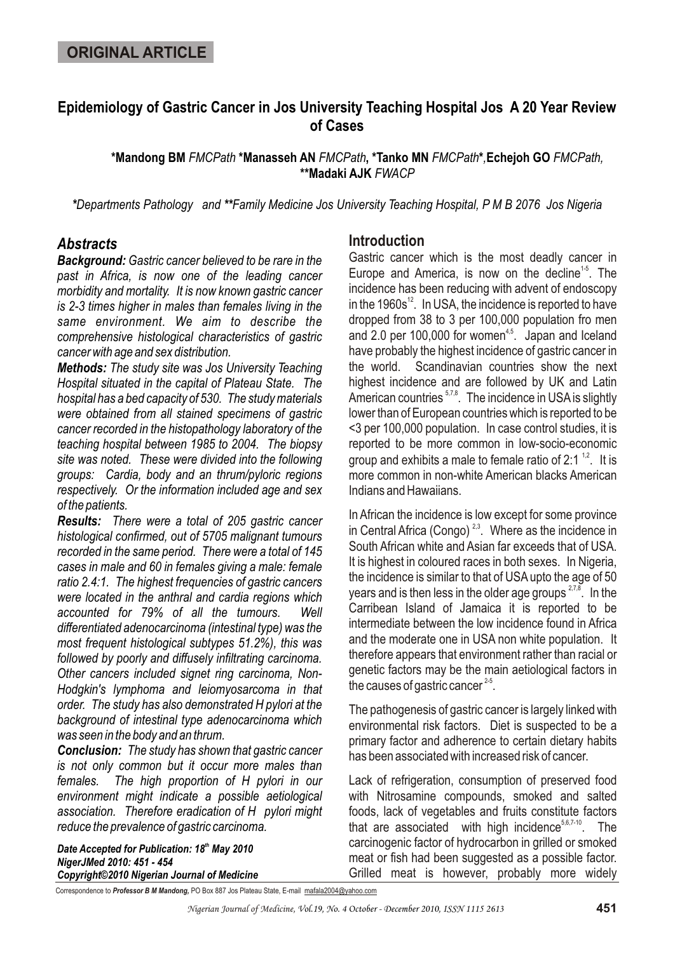# **Epidemiology of Gastric Cancer in Jos University Teaching Hospital Jos A 20 Year Review of Cases**

**\*Mandong BM** *FMCPath* **\*Manasseh AN** *FMCPath***, \*Tanko MN** *FMCPath***\****,***Echejoh GO** *FMCPath,*  **\*\*Madaki AJK** *FWACP*

*\*Departments Pathology and \*\*Family Medicine Jos University Teaching Hospital, P M B 2076 Jos Nigeria*

## *Abstracts*

*Background: Gastric cancer believed to be rare in the past in Africa, is now one of the leading cancer morbidity and mortality. It is now known gastric cancer is 2-3 times higher in males than females living in the same environment. We aim to describe the comprehensive histological characteristics of gastric cancer with age and sex distribution.*

*Methods: The study site was Jos University Teaching Hospital situated in the capital of Plateau State. The hospital has a bed capacity of 530. The study materials were obtained from all stained specimens of gastric cancer recorded in the histopathology laboratory of the teaching hospital between 1985 to 2004. The biopsy site was noted. These were divided into the following groups: Cardia, body and an thrum/pyloric regions respectively. Or the information included age and sex of the patients.*

*Results: There were a total of 205 gastric cancer histological confirmed, out of 5705 malignant tumours recorded in the same period. There were a total of 145 cases in male and 60 in females giving a male: female ratio 2.4:1. The highest frequencies of gastric cancers were located in the anthral and cardia regions which accounted for 79% of all the tumours. Well differentiated adenocarcinoma (intestinal type) was the most frequent histological subtypes 51.2%), this was followed by poorly and diffusely infiltrating carcinoma. Other cancers included signet ring carcinoma, Non-Hodgkin's lymphoma and leiomyosarcoma in that order. The study has also demonstrated H pylori at the background of intestinal type adenocarcinoma which was seen in the body and an thrum.*

*Conclusion: The study has shown that gastric cancer is not only common but it occur more males than females. The high proportion of H pylori in our environment might indicate a possible aetiological association. Therefore eradication of H pylori might reduce the prevalence of gastric carcinoma.*

**Date Accepted for Publication: 18<sup>th</sup> May 2010** *NigerJMed 2010: 451 - 454 Copyright©2010 Nigerian Journal of Medicine*

#### **Introduction**

Gastric cancer which is the most deadly cancer in Europe and America, is now on the decline<sup> $1-5$ </sup>. The incidence has been reducing with advent of endoscopy in the  $1960s^{12}$ . In USA, the incidence is reported to have dropped from 38 to 3 per 100,000 population fro men and 2.0 per 100,000 for women $4.5$ . Japan and Iceland have probably the highest incidence of gastric cancer in the world. Scandinavian countries show the next highest incidence and are followed by UK and Latin American countries  $57,8$ . The incidence in USA is slightly lower than of European countries which is reported to be <3 per 100,000 population. In case control studies, it is reported to be more common in low-socio-economic group and exhibits a male to female ratio of 2:1  $^{1,2}$ . It is more common in non-white American blacks American Indians and Hawaiians.

In African the incidence is low except for some province in Central Africa (Congo)<sup> $2,3$ </sup>. Where as the incidence in South African white and Asian far exceeds that of USA. It is highest in coloured races in both sexes. In Nigeria, the incidence is similar to that of USA upto the age of 50 years and is then less in the older age groups  $27,8$ . In the Carribean Island of Jamaica it is reported to be intermediate between the low incidence found in Africa and the moderate one in USA non white population. It therefore appears that environment rather than racial or genetic factors may be the main aetiological factors in the causes of gastric cancer  $2-5$ .

The pathogenesis of gastric cancer is largely linked with environmental risk factors. Diet is suspected to be a primary factor and adherence to certain dietary habits has been associated with increased risk of cancer.

Lack of refrigeration, consumption of preserved food with Nitrosamine compounds, smoked and salted foods, lack of vegetables and fruits constitute factors that are associated with high incidence $5,6,7-10$ . The carcinogenic factor of hydrocarbon in grilled or smoked meat or fish had been suggested as a possible factor. Grilled meat is however, probably more widely

Correspondence to *Professor B M Mandong,* PO Box 887 Jos Plateau State, E-mail mafala2004@yahoo.com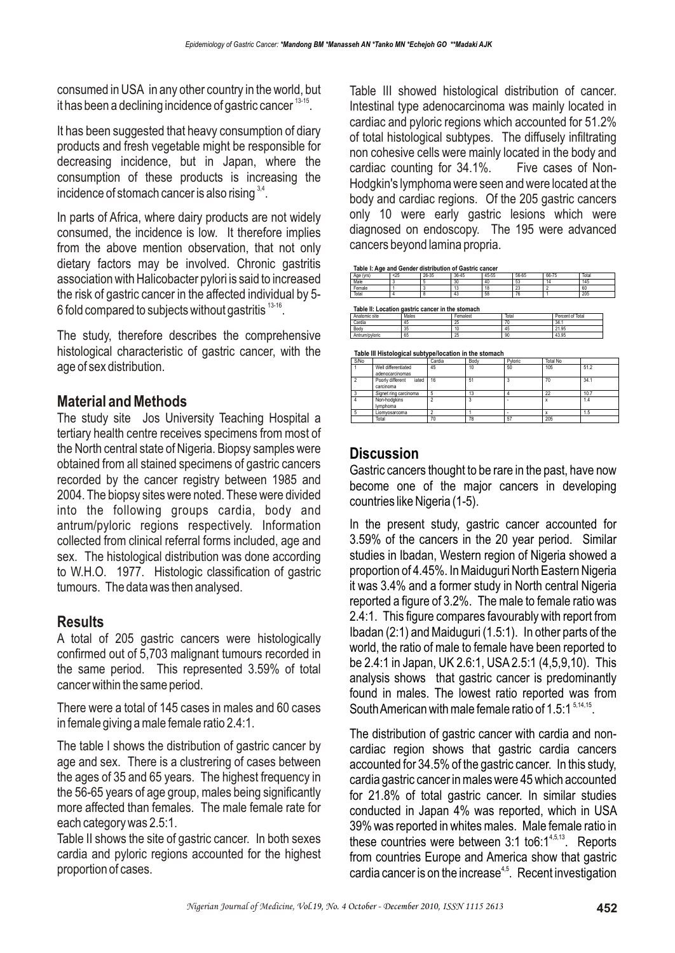consumed in USA in any other country in the world, but it has been a declining incidence of gastric cancer  $13-15$ .

It has been suggested that heavy consumption of diary products and fresh vegetable might be responsible for decreasing incidence, but in Japan, where the consumption of these products is increasing the incidence of stomach cancer is also rising  $3,4$ .

In parts of Africa, where dairy products are not widely consumed, the incidence is low. It therefore implies from the above mention observation, that not only dietary factors may be involved. Chronic gastritis association with Halicobacter pylori is said to increased the risk of gastric cancer in the affected individual by 5- 6 fold compared to subjects without gastritis  $13-16$ .

The study, therefore describes the comprehensive histological characteristic of gastric cancer, with the age of sex distribution.

## **Material and Methods**

The study site Jos University Teaching Hospital a tertiary health centre receives specimens from most of the North central state of Nigeria. Biopsy samples were obtained from all stained specimens of gastric cancers recorded by the cancer registry between 1985 and 2004. The biopsy sites were noted. These were divided into the following groups cardia, body and antrum/pyloric regions respectively. Information collected from clinical referral forms included, age and sex. The histological distribution was done according to W.H.O. 1977. Histologic classification of gastric tumours. The data was then analysed.

## **Results**

A total of 205 gastric cancers were histologically confirmed out of 5,703 malignant tumours recorded in the same period. This represented 3.59% of total cancer within the same period.

There were a total of 145 cases in males and 60 cases in female giving a male female ratio 2.4:1.

The table I shows the distribution of gastric cancer by age and sex. There is a clustrering of cases between the ages of 35 and 65 years. The highest frequency in the 56-65 years of age group, males being significantly more affected than females. The male female rate for each category was 2.5:1.

Table II shows the site of gastric cancer. In both sexes cardia and pyloric regions accounted for the highest proportion of cases.

Table III showed histological distribution of cancer. Intestinal type adenocarcinoma was mainly located in cardiac and pyloric regions which accounted for 51.2% of total histological subtypes. The diffusely infiltrating non cohesive cells were mainly located in the body and cardiac counting for 34.1%. Five cases of Non-Hodgkin's lymphoma were seen and were located at the body and cardiac regions. Of the 205 gastric cancers only 10 were early gastric lesions which were diagnosed on endoscopy. The 195 were advanced cancers beyond lamina propria.

**Table I: Age and Gender distribution of Gastric cancer**

| Δαρ<br>fure<br>.v. a<br>nuc | < 25 | 26-35 | 36-45       | 45-55 | 56-65        | 66-75 | Total |
|-----------------------------|------|-------|-------------|-------|--------------|-------|-------|
| Male                        |      |       | $\sim$<br>w | 40    | 53           |       | 145   |
| Female                      |      |       | ιυ          | ۰ö    | $\sim$<br>20 |       | 60    |
| Total                       |      |       |             | 58    |              |       | 205   |
|                             |      |       |             |       |              |       |       |

**Table II: Location gastric cancer in the stomach**

| Anatomic site  | Males | Femalest | Total | Percent of Total |
|----------------|-------|----------|-------|------------------|
| Cardia         | 45    | 25       |       | 34.1             |
| Body           | 35    |          | 45    | 21.95            |
| Antrum/pyloric | 65    | 25       | 90    | 43.95            |
|                |       |          |       |                  |

**Table III Histological subtype/location in the stomach**

| S/No |                                        | Cardia | Body | Pyloric | <b>Total No</b> |      |
|------|----------------------------------------|--------|------|---------|-----------------|------|
|      | Well differentiated<br>adenocarcinomas | 45     | 10   | 50      | 105             | 51.2 |
| 2    | Poorly different<br>iated<br>carcinoma | 16     | 51   |         | 70              | 34.1 |
|      | Signet ring carcinoma                  | 5      | 13   |         | 22              | 10.7 |
|      | Non-hodgkins<br>Ivmphoma               |        |      |         |                 | 1.4  |
| -5   | Liomvosarcoma                          |        |      | -       |                 | 1.5  |
|      | Total                                  | 70     | 78   | 57      | 205             |      |

## **Discussion**

Gastric cancers thought to be rare in the past, have now become one of the major cancers in developing countries like Nigeria (1-5).

In the present study, gastric cancer accounted for 3.59% of the cancers in the 20 year period. Similar studies in Ibadan, Western region of Nigeria showed a proportion of 4.45%. In Maiduguri North Eastern Nigeria it was 3.4% and a former study in North central Nigeria reported a figure of 3.2%. The male to female ratio was 2.4:1. This figure compares favourably with report from Ibadan (2:1) and Maiduguri (1.5:1). In other parts of the world, the ratio of male to female have been reported to be 2.4:1 in Japan, UK 2.6:1, USA 2.5:1 (4,5,9,10). This analysis shows that gastric cancer is predominantly found in males. The lowest ratio reported was from South American with male female ratio of 1.5:1  $5.14,15$ .

The distribution of gastric cancer with cardia and noncardiac region shows that gastric cardia cancers accounted for 34.5% of the gastric cancer. In this study, cardia gastric cancer in males were 45 which accounted for 21.8% of total gastric cancer. In similar studies conducted in Japan 4% was reported, which in USA 39% was reported in whites males. Male female ratio in these countries were between  $3.1$  to $6.1<sup>4,5,13</sup>$ . Reports from countries Europe and America show that gastric cardia cancer is on the increase<sup>4,5</sup>. Recent investigation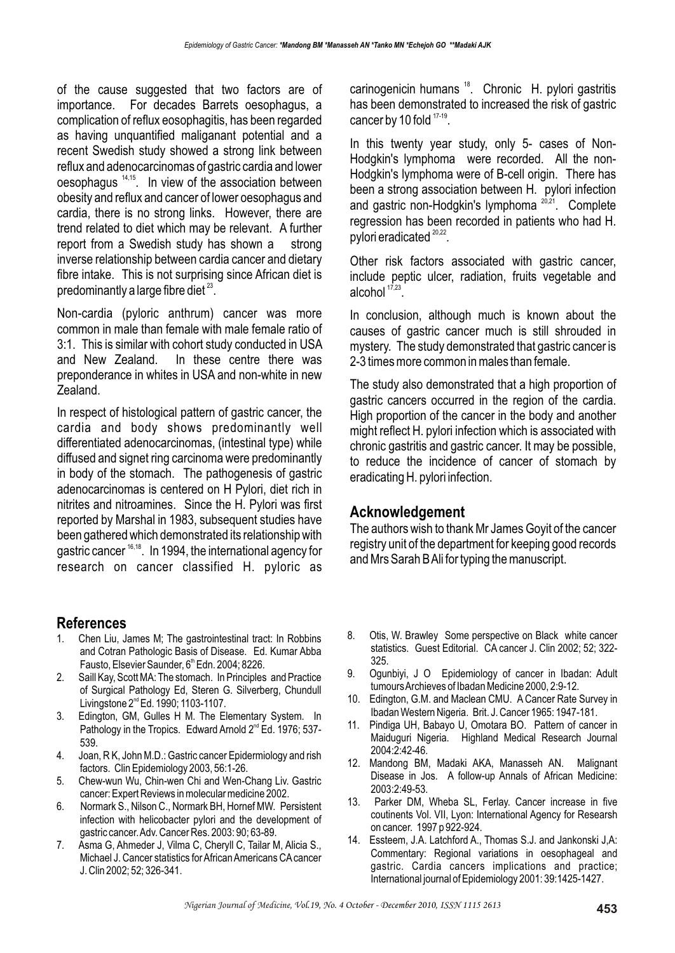of the cause suggested that two factors are of importance. For decades Barrets oesophagus, a complication of reflux eosophagitis, has been regarded as having unquantified maliganant potential and a recent Swedish study showed a strong link between reflux and adenocarcinomas of gastric cardia and lower  $o$ esophagus  $14,15$ . In view of the association between obesity and reflux and cancer of lower oesophagus and cardia, there is no strong links. However, there are trend related to diet which may be relevant. A further report from a Swedish study has shown a strong inverse relationship between cardia cancer and dietary fibre intake. This is not surprising since African diet is predominantly a large fibre diet  $23$ .

Non-cardia (pyloric anthrum) cancer was more common in male than female with male female ratio of 3:1. This is similar with cohort study conducted in USA and New Zealand. In these centre there was preponderance in whites in USA and non-white in new Zealand.

In respect of histological pattern of gastric cancer, the cardia and body shows predominantly well differentiated adenocarcinomas, (intestinal type) while diffused and signet ring carcinoma were predominantly in body of the stomach. The pathogenesis of gastric adenocarcinomas is centered on H Pylori, diet rich in nitrites and nitroamines. Since the H. Pylori was first reported by Marshal in 1983, subsequent studies have been gathered which demonstrated its relationship with gastric cancer  $16,18$ . In 1994, the international agency for research on cancer classified H. pyloric as

### **References**

- 1. Chen Liu, James M; The gastrointestinal tract: In Robbins and Cotran Pathologic Basis of Disease. Ed. Kumar Abba Fausto, Elsevier Saunder, 6<sup>th</sup> Edn. 2004; 8226.
- 2. Saill Kay, Scott MA: The stomach. In Principles and Practice of Surgical Pathology Ed, Steren G. Silverberg, Chundull Livingstone  $2^{nd}$  Ed. 1990; 1103-1107.
- 3. Edington, GM, Gulles H M. The Elementary System. In Pathology in the Tropics. Edward Arnold  $2^{nd}$  Ed. 1976; 537-539.
- 4. Joan, R K, John M.D.: Gastric cancer Epidermiology and rish factors. Clin Epidemiology 2003, 56:1-26.
- 5. Chew-wun Wu, Chin-wen Chi and Wen-Chang Liv. Gastric cancer: Expert Reviews in molecular medicine 2002.
- 6. Normark S., Nilson C., Normark BH, Hornef MW. Persistent infection with helicobacter pylori and the development of gastric cancer. Adv. Cancer Res. 2003: 90; 63-89.
- 7. Asma G, Ahmeder J, Vilma C, Cheryll C, Tailar M, Alicia S., Michael J. Cancer statistics for African Americans CA cancer J. Clin 2002; 52; 326-341.

carinogenicin humans <sup>18</sup>. Chronic H. pylori gastritis has been demonstrated to increased the risk of gastric cancer by 10 fold  $17-19$ .

In this twenty year study, only 5- cases of Non-Hodgkin's lymphoma were recorded. All the non-Hodgkin's lymphoma were of B-cell origin. There has been a strong association between H. pylori infection and gastric non-Hodgkin's lymphoma  $20.21$ . Complete regression has been recorded in patients who had H. pylori eradicated<sup>20,22</sup>.

Other risk factors associated with gastric cancer, include peptic ulcer, radiation, fruits vegetable and alcohol 17,23

In conclusion, although much is known about the causes of gastric cancer much is still shrouded in mystery. The study demonstrated that gastric cancer is 2-3 times more common in males than female.

The study also demonstrated that a high proportion of gastric cancers occurred in the region of the cardia. High proportion of the cancer in the body and another might reflect H. pylori infection which is associated with chronic gastritis and gastric cancer. It may be possible, to reduce the incidence of cancer of stomach by eradicating H. pylori infection.

### **Acknowledgement**

The authors wish to thank Mr James Goyit of the cancer registry unit of the department for keeping good records and Mrs Sarah B Ali for typing the manuscript.

- 8. Otis, W. Brawley Some perspective on Black white cancer statistics. Guest Editorial. CA cancer J. Clin 2002; 52; 322- 325.
- 9. Ogunbiyi, J O Epidemiology of cancer in Ibadan: Adult tumours Archieves of Ibadan Medicine 2000, 2:9-12.
- 10. Edington, G.M. and Maclean CMU. A Cancer Rate Survey in Ibadan Western Nigeria. Brit. J. Cancer 1965: 1947-181.
- 11. Pindiga UH, Babayo U, Omotara BO. Pattern of cancer in Maiduguri Nigeria. Highland Medical Research Journal 2004:2:42-46.
- 12. Mandong BM, Madaki AKA, Manasseh AN. Malignant Disease in Jos. A follow-up Annals of African Medicine: 2003:2:49-53.
- 13. Parker DM, Wheba SL, Ferlay. Cancer increase in five coutinents Vol. VII, Lyon: International Agency for Researsh on cancer. 1997 p 922-924.
- 14. Essteem, J.A. Latchford A., Thomas S.J. and Jankonski J,A: Commentary: Regional variations in oesophageal and gastric. Cardia cancers implications and practice; International journal of Epidemiology 2001: 39:1425-1427.